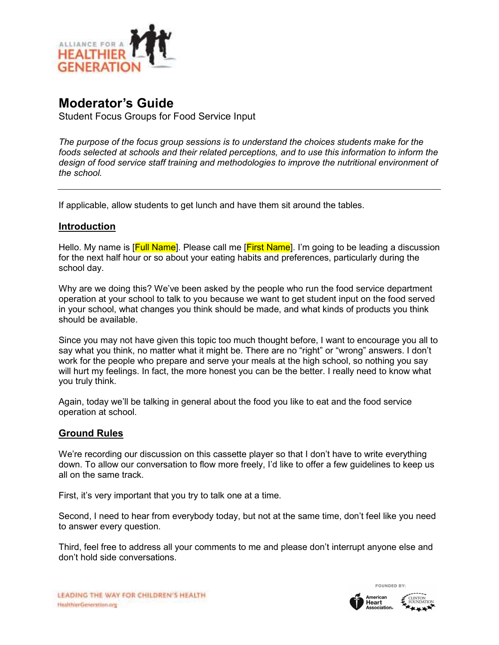

# **Moderator's Guide**

Student Focus Groups for Food Service Input

*The purpose of the focus group sessions is to understand the choices students make for the foods selected at schools and their related perceptions, and to use this information to inform the design of food service staff training and methodologies to improve the nutritional environment of the school.* 

If applicable, allow students to get lunch and have them sit around the tables.

#### **Introduction**

Hello. My name is [Full Name]. Please call me [First Name]. I'm going to be leading a discussion for the next half hour or so about your eating habits and preferences, particularly during the school day.

Why are we doing this? We've been asked by the people who run the food service department operation at your school to talk to you because we want to get student input on the food served in your school, what changes you think should be made, and what kinds of products you think should be available.

Since you may not have given this topic too much thought before, I want to encourage you all to say what you think, no matter what it might be. There are no "right" or "wrong" answers. I don't work for the people who prepare and serve your meals at the high school, so nothing you say will hurt my feelings. In fact, the more honest you can be the better. I really need to know what you truly think.

Again, today we'll be talking in general about the food you like to eat and the food service operation at school.

#### **Ground Rules**

We're recording our discussion on this cassette player so that I don't have to write everything down. To allow our conversation to flow more freely, I'd like to offer a few guidelines to keep us all on the same track.

First, it's very important that you try to talk one at a time.

Second, I need to hear from everybody today, but not at the same time, don't feel like you need to answer every question.

Third, feel free to address all your comments to me and please don't interrupt anyone else and don't hold side conversations.



FOUNDED BY: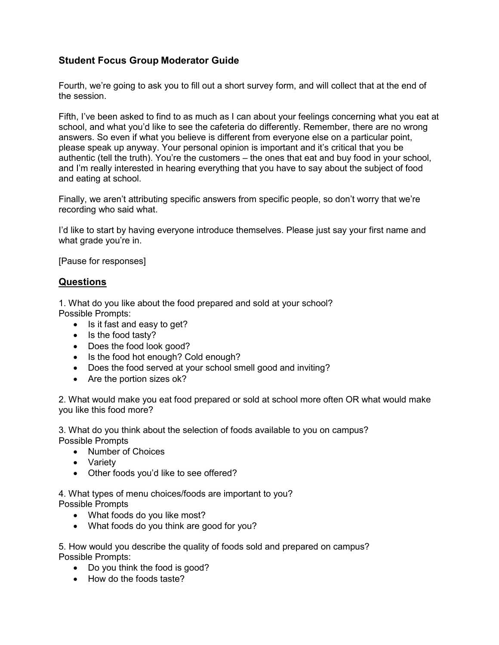## **Student Focus Group Moderator Guide**

Fourth, we're going to ask you to fill out a short survey form, and will collect that at the end of the session.

Fifth, I've been asked to find to as much as I can about your feelings concerning what you eat at school, and what you'd like to see the cafeteria do differently. Remember, there are no wrong answers. So even if what you believe is different from everyone else on a particular point, please speak up anyway. Your personal opinion is important and it's critical that you be authentic (tell the truth). You're the customers – the ones that eat and buy food in your school, and I'm really interested in hearing everything that you have to say about the subject of food and eating at school.

Finally, we aren't attributing specific answers from specific people, so don't worry that we're recording who said what.

I'd like to start by having everyone introduce themselves. Please just say your first name and what grade you're in.

[Pause for responses]

#### **Questions**

1. What do you like about the food prepared and sold at your school? Possible Prompts:

- Is it fast and easy to get?
- Is the food tasty?
- Does the food look good?
- Is the food hot enough? Cold enough?
- Does the food served at your school smell good and inviting?
- Are the portion sizes ok?

2. What would make you eat food prepared or sold at school more often OR what would make you like this food more?

3. What do you think about the selection of foods available to you on campus? Possible Prompts

- Number of Choices
- Variety
- Other foods you'd like to see offered?

4. What types of menu choices/foods are important to you? Possible Prompts

- What foods do you like most?
- What foods do you think are good for you?

5. How would you describe the quality of foods sold and prepared on campus? Possible Prompts:

- Do you think the food is good?
- How do the foods taste?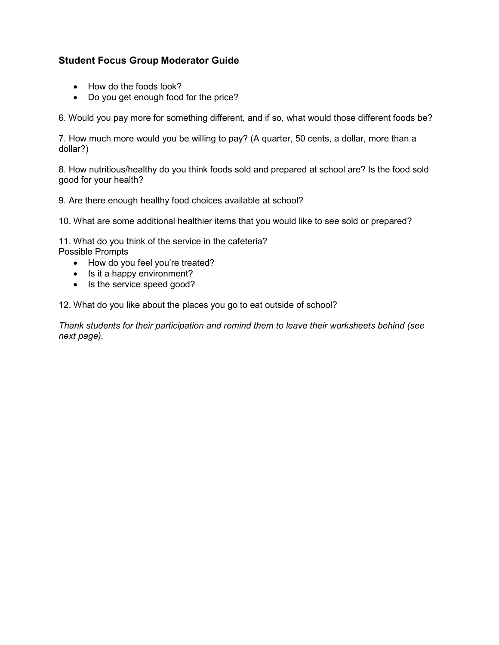## **Student Focus Group Moderator Guide**

- How do the foods look?
- Do you get enough food for the price?

6. Would you pay more for something different, and if so, what would those different foods be?

7. How much more would you be willing to pay? (A quarter, 50 cents, a dollar, more than a dollar?)

8. How nutritious/healthy do you think foods sold and prepared at school are? Is the food sold good for your health?

9. Are there enough healthy food choices available at school?

10. What are some additional healthier items that you would like to see sold or prepared?

11. What do you think of the service in the cafeteria? Possible Prompts

- How do you feel you're treated?
- Is it a happy environment?
- Is the service speed good?

12. What do you like about the places you go to eat outside of school?

*Thank students for their participation and remind them to leave their worksheets behind (see next page).*